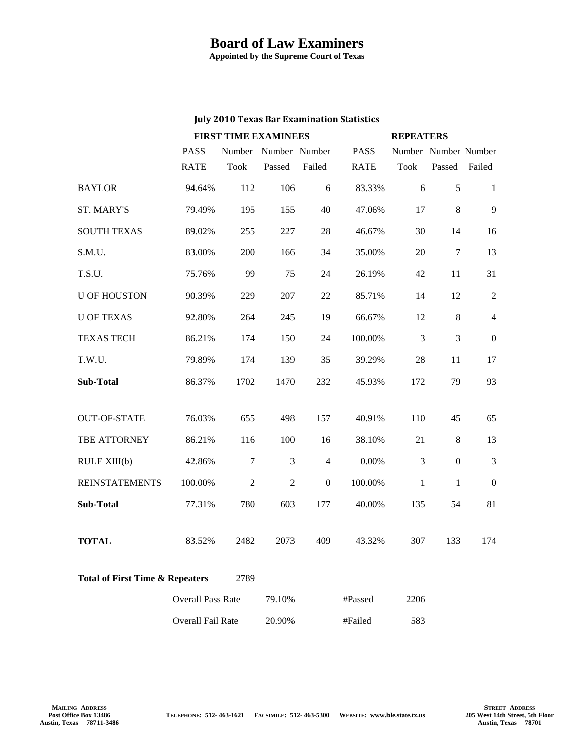## **Board of Law Examiners**

**Appointed by the Supreme Court of Texas**

## **July 2010 Texas Bar Examination Statistics**

|                                                    |                          | <b>FIRST TIME EXAMINEES</b> |                |                  |             | <b>REPEATERS</b>     |                |                |
|----------------------------------------------------|--------------------------|-----------------------------|----------------|------------------|-------------|----------------------|----------------|----------------|
|                                                    | <b>PASS</b>              | Number                      | Number Number  |                  | <b>PASS</b> | Number Number Number |                |                |
|                                                    | <b>RATE</b>              | <b>Took</b>                 | Passed         | Failed           | <b>RATE</b> | <b>Took</b>          | Passed         | Failed         |
| <b>BAYLOR</b>                                      | 94.64%                   | 112                         | 106            | 6                | 83.33%      | 6                    | 5              | 1              |
| <b>ST. MARY'S</b>                                  | 79.49%                   | 195                         | 155            | 40               | 47.06%      | 17                   | 8              | 9              |
| <b>SOUTH TEXAS</b>                                 | 89.02%                   | 255                         | 227            | 28               | 46.67%      | 30                   | 14             | 16             |
| S.M.U.                                             | 83.00%                   | 200                         | 166            | 34               | 35.00%      | 20                   | 7              | 13             |
| T.S.U.                                             | 75.76%                   | 99                          | 75             | 24               | 26.19%      | 42                   | 11             | 31             |
| <b>U OF HOUSTON</b>                                | 90.39%                   | 229                         | 207            | 22               | 85.71%      | 14                   | 12             | $\overline{2}$ |
| <b>U OF TEXAS</b>                                  | 92.80%                   | 264                         | 245            | 19               | 66.67%      | 12                   | 8              | $\overline{4}$ |
| <b>TEXAS TECH</b>                                  | 86.21%                   | 174                         | 150            | 24               | 100.00%     | 3                    | $\overline{3}$ | $\Omega$       |
| T.W.U.                                             | 79.89%                   | 174                         | 139            | 35               | 39.29%      | 28                   | 11             | 17             |
| <b>Sub-Total</b>                                   | 86.37%                   | 1702                        | 1470           | 232              | 45.93%      | 172                  | 79             | 93             |
|                                                    |                          |                             |                |                  |             |                      |                |                |
| <b>OUT-OF-STATE</b>                                | 76.03%                   | 655                         | 498            | 157              | 40.91%      | 110                  | 45             | 65             |
| TBE ATTORNEY                                       | 86.21%                   | 116                         | 100            | 16               | 38.10%      | 21                   | $8\,$          | 13             |
| RULE XIII(b)                                       | 42.86%                   | $\tau$                      | 3              | $\overline{4}$   | 0.00%       | 3                    | $\overline{0}$ | $\mathfrak{Z}$ |
| <b>REINSTATEMENTS</b>                              | 100.00%                  | 2                           | $\overline{2}$ | $\boldsymbol{0}$ | 100.00%     | $\mathbf{1}$         | 1              | $\mathbf{0}$   |
| Sub-Total                                          | 77.31%                   | 780                         | 603            | 177              | 40.00%      | 135                  | 54             | 81             |
|                                                    |                          |                             |                |                  |             |                      |                |                |
| <b>TOTAL</b>                                       | 83.52%                   | 2482                        | 2073           | 409              | 43.32%      | 307                  | 133            | 174            |
| <b>Total of First Time &amp; Repeaters</b><br>2789 |                          |                             |                |                  |             |                      |                |                |
|                                                    | <b>Overall Pass Rate</b> |                             | 79.10%         |                  | #Passed     | 2206                 |                |                |
|                                                    | Overall Fail Rate        |                             | 20.90%         |                  | #Failed     | 583                  |                |                |